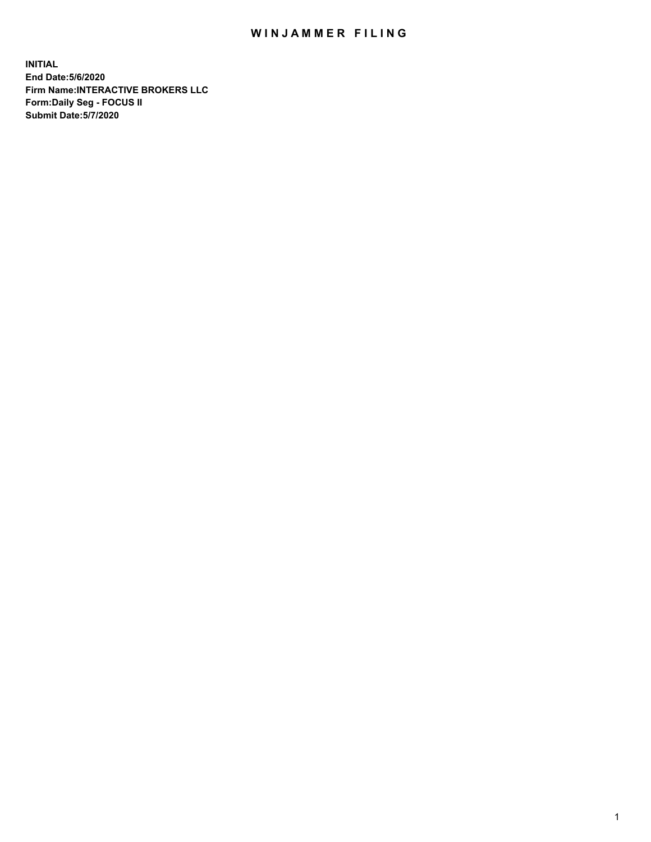## WIN JAMMER FILING

**INITIAL End Date:5/6/2020 Firm Name:INTERACTIVE BROKERS LLC Form:Daily Seg - FOCUS II Submit Date:5/7/2020**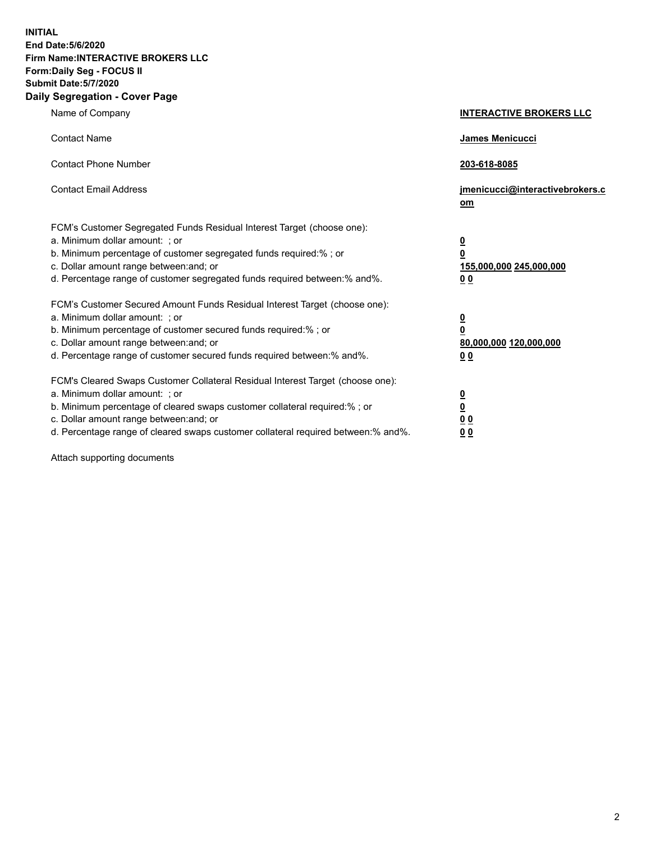**INITIAL End Date:5/6/2020 Firm Name:INTERACTIVE BROKERS LLC Form:Daily Seg - FOCUS II Submit Date:5/7/2020 Daily Segregation - Cover Page**

| Name of Company                                                                                                                                                                                                                                                                                                                | <b>INTERACTIVE BROKERS LLC</b>                                                                 |
|--------------------------------------------------------------------------------------------------------------------------------------------------------------------------------------------------------------------------------------------------------------------------------------------------------------------------------|------------------------------------------------------------------------------------------------|
| <b>Contact Name</b>                                                                                                                                                                                                                                                                                                            | James Menicucci                                                                                |
| <b>Contact Phone Number</b>                                                                                                                                                                                                                                                                                                    | 203-618-8085                                                                                   |
| <b>Contact Email Address</b>                                                                                                                                                                                                                                                                                                   | jmenicucci@interactivebrokers.c<br>om                                                          |
| FCM's Customer Segregated Funds Residual Interest Target (choose one):<br>a. Minimum dollar amount: ; or<br>b. Minimum percentage of customer segregated funds required:% ; or<br>c. Dollar amount range between: and; or<br>d. Percentage range of customer segregated funds required between: % and %.                       | $\overline{\mathbf{0}}$<br>$\overline{\mathbf{0}}$<br>155,000,000 245,000,000<br><u>00</u>     |
| FCM's Customer Secured Amount Funds Residual Interest Target (choose one):<br>a. Minimum dollar amount: ; or<br>b. Minimum percentage of customer secured funds required:%; or<br>c. Dollar amount range between: and; or<br>d. Percentage range of customer secured funds required between:% and%.                            | $\overline{\mathbf{0}}$<br>$\overline{\mathbf{0}}$<br>80,000,000 120,000,000<br>0 <sub>0</sub> |
| FCM's Cleared Swaps Customer Collateral Residual Interest Target (choose one):<br>a. Minimum dollar amount: ; or<br>b. Minimum percentage of cleared swaps customer collateral required:% ; or<br>c. Dollar amount range between: and; or<br>d. Percentage range of cleared swaps customer collateral required between:% and%. | $\frac{0}{0}$<br>$\underline{0}$ $\underline{0}$<br>0 <sub>0</sub>                             |

Attach supporting documents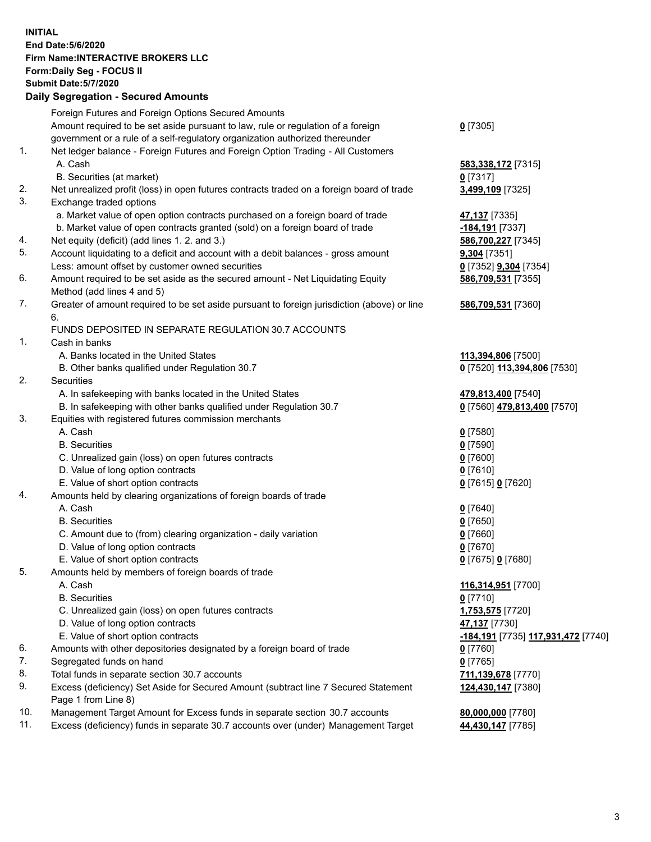**INITIAL End Date:5/6/2020 Firm Name:INTERACTIVE BROKERS LLC Form:Daily Seg - FOCUS II Submit Date:5/7/2020 Daily Segregation - Secured Amounts**

|     | Foreign Futures and Foreign Options Secured Amounts                                         |                                                        |
|-----|---------------------------------------------------------------------------------------------|--------------------------------------------------------|
|     | Amount required to be set aside pursuant to law, rule or regulation of a foreign            | $0$ [7305]                                             |
|     | government or a rule of a self-regulatory organization authorized thereunder                |                                                        |
| 1.  | Net ledger balance - Foreign Futures and Foreign Option Trading - All Customers             |                                                        |
|     | A. Cash                                                                                     | 583,338,172 [7315]                                     |
|     | B. Securities (at market)                                                                   | $0$ [7317]                                             |
| 2.  | Net unrealized profit (loss) in open futures contracts traded on a foreign board of trade   | 3,499,109 [7325]                                       |
| 3.  | Exchange traded options                                                                     |                                                        |
|     | a. Market value of open option contracts purchased on a foreign board of trade              | 47,137 [7335]                                          |
|     | b. Market value of open contracts granted (sold) on a foreign board of trade                | -184,191 <sub>[7337]</sub>                             |
| 4.  | Net equity (deficit) (add lines 1.2. and 3.)                                                | 586,700,227 [7345]                                     |
| 5.  | Account liquidating to a deficit and account with a debit balances - gross amount           | 9,304 [7351]                                           |
|     | Less: amount offset by customer owned securities                                            | 0 [7352] 9,304 [7354]                                  |
| 6.  | Amount required to be set aside as the secured amount - Net Liquidating Equity              | 586,709,531 [7355]                                     |
|     | Method (add lines 4 and 5)                                                                  |                                                        |
| 7.  | Greater of amount required to be set aside pursuant to foreign jurisdiction (above) or line | 586,709,531 [7360]                                     |
|     | 6.                                                                                          |                                                        |
|     | FUNDS DEPOSITED IN SEPARATE REGULATION 30.7 ACCOUNTS                                        |                                                        |
| 1.  | Cash in banks                                                                               |                                                        |
|     | A. Banks located in the United States                                                       | 113,394,806 [7500]                                     |
|     | B. Other banks qualified under Regulation 30.7                                              | 0 [7520] 113,394,806 [7530]                            |
| 2.  | Securities                                                                                  |                                                        |
|     | A. In safekeeping with banks located in the United States                                   | 479,813,400 [7540]                                     |
|     | B. In safekeeping with other banks qualified under Regulation 30.7                          | 0 [7560] 479,813,400 [7570]                            |
| 3.  | Equities with registered futures commission merchants                                       |                                                        |
|     | A. Cash                                                                                     | $0$ [7580]                                             |
|     | <b>B.</b> Securities                                                                        | $0$ [7590]                                             |
|     | C. Unrealized gain (loss) on open futures contracts                                         | $0$ [7600]                                             |
|     | D. Value of long option contracts                                                           | $0$ [7610]                                             |
|     | E. Value of short option contracts                                                          | 0 [7615] 0 [7620]                                      |
| 4.  | Amounts held by clearing organizations of foreign boards of trade                           |                                                        |
|     | A. Cash                                                                                     | $0$ [7640]                                             |
|     | <b>B.</b> Securities                                                                        | $0$ [7650]                                             |
|     | C. Amount due to (from) clearing organization - daily variation                             | $0$ [7660]                                             |
|     | D. Value of long option contracts                                                           | $0$ [7670]                                             |
|     | E. Value of short option contracts                                                          | 0 [7675] 0 [7680]                                      |
| 5.  | Amounts held by members of foreign boards of trade                                          |                                                        |
|     | A. Cash                                                                                     | 116,314,951 [7700]                                     |
|     | <b>B.</b> Securities                                                                        | $0$ [7710]                                             |
|     | C. Unrealized gain (loss) on open futures contracts                                         | 1,753,575 [7720]                                       |
|     | D. Value of long option contracts                                                           | 47,137 [7730]                                          |
|     | E. Value of short option contracts                                                          | <mark>-184,191</mark> [7735] <u>117,931,472</u> [7740] |
| 6.  | Amounts with other depositories designated by a foreign board of trade                      | $0$ [7760]                                             |
| 7.  | Segregated funds on hand                                                                    | $0$ [7765]                                             |
| 8.  | Total funds in separate section 30.7 accounts                                               | 711,139,678 [7770]                                     |
| 9.  | Excess (deficiency) Set Aside for Secured Amount (subtract line 7 Secured Statement         | 124,430,147 [7380]                                     |
|     | Page 1 from Line 8)                                                                         |                                                        |
| 10. | Management Target Amount for Excess funds in separate section 30.7 accounts                 | 80,000,000 [7780]                                      |
| 11. | Excess (deficiency) funds in separate 30.7 accounts over (under) Management Target          | 44,430,147 [7785]                                      |
|     |                                                                                             |                                                        |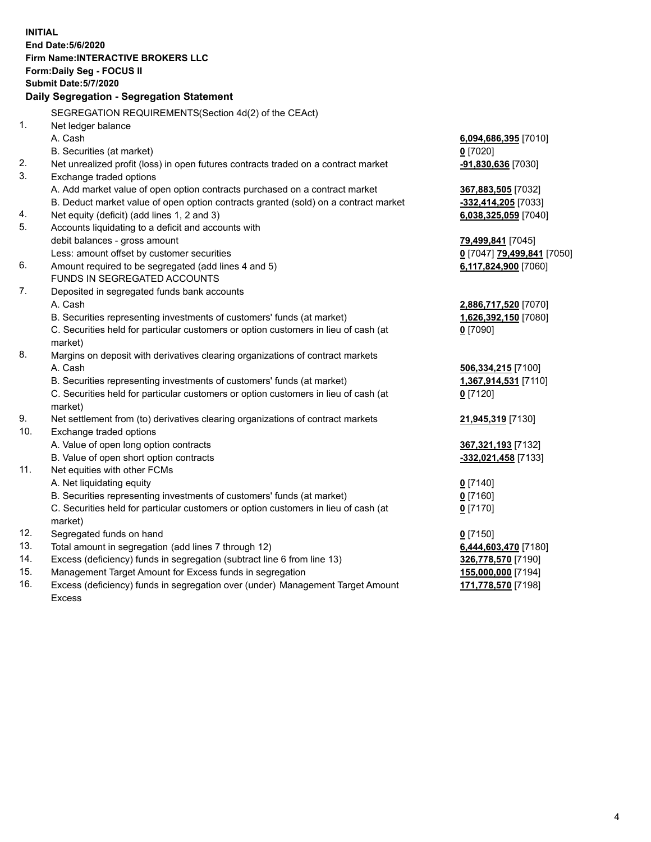**INITIAL End Date:5/6/2020 Firm Name:INTERACTIVE BROKERS LLC Form:Daily Seg - FOCUS II Submit Date:5/7/2020 Daily Segregation - Segregation Statement** SEGREGATION REQUIREMENTS(Section 4d(2) of the CEAct) 1. Net ledger balance A. Cash **6,094,686,395** [7010] B. Securities (at market) **0** [7020] 2. Net unrealized profit (loss) in open futures contracts traded on a contract market **-91,830,636** [7030] 3. Exchange traded options A. Add market value of open option contracts purchased on a contract market **367,883,505** [7032] B. Deduct market value of open option contracts granted (sold) on a contract market **-332,414,205** [7033] 4. Net equity (deficit) (add lines 1, 2 and 3) **6,038,325,059** [7040] 5. Accounts liquidating to a deficit and accounts with debit balances - gross amount **79,499,841** [7045] Less: amount offset by customer securities **0** [7047] **79,499,841** [7050] 6. Amount required to be segregated (add lines 4 and 5) **6,117,824,900** [7060] FUNDS IN SEGREGATED ACCOUNTS 7. Deposited in segregated funds bank accounts A. Cash **2,886,717,520** [7070] B. Securities representing investments of customers' funds (at market) **1,626,392,150** [7080] C. Securities held for particular customers or option customers in lieu of cash (at market) **0** [7090] 8. Margins on deposit with derivatives clearing organizations of contract markets A. Cash **506,334,215** [7100] B. Securities representing investments of customers' funds (at market) **1,367,914,531** [7110] C. Securities held for particular customers or option customers in lieu of cash (at market) **0** [7120] 9. Net settlement from (to) derivatives clearing organizations of contract markets **21,945,319** [7130] 10. Exchange traded options A. Value of open long option contracts **367,321,193** [7132] B. Value of open short option contracts **-332,021,458** [7133] 11. Net equities with other FCMs A. Net liquidating equity **0** [7140] B. Securities representing investments of customers' funds (at market) **0** [7160] C. Securities held for particular customers or option customers in lieu of cash (at market) **0** [7170] 12. Segregated funds on hand **0** [7150] 13. Total amount in segregation (add lines 7 through 12) **6,444,603,470** [7180] 14. Excess (deficiency) funds in segregation (subtract line 6 from line 13) **326,778,570** [7190] 15. Management Target Amount for Excess funds in segregation **155,000,000** [7194] 16. Excess (deficiency) funds in segregation over (under) Management Target Amount Excess **171,778,570** [7198]